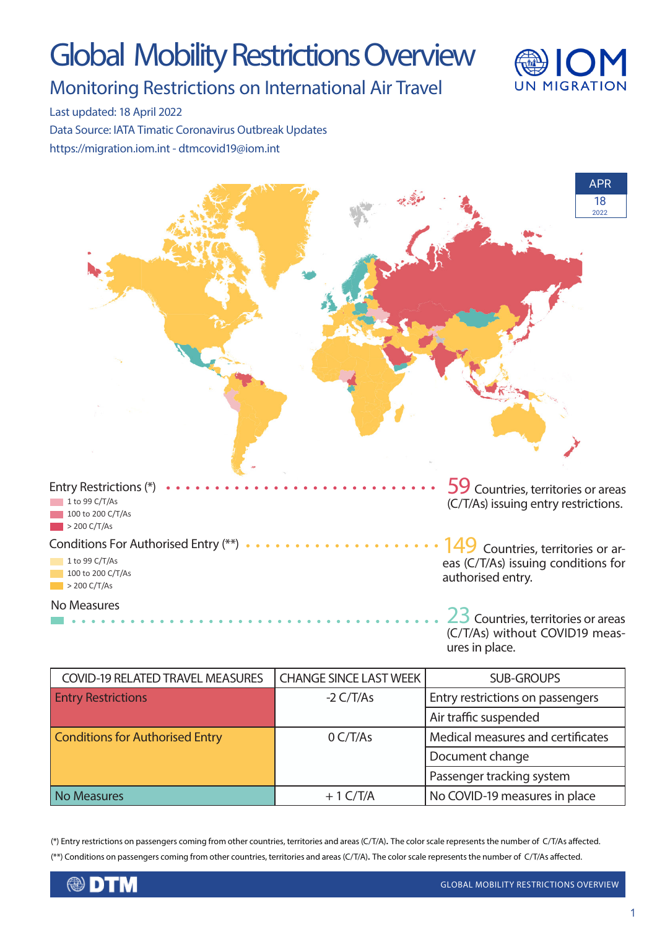# Global Mobility Restrictions Overview



Monitoring Restrictions on International Air Travel

Last updated: 18 April 2022 Data Source: IATA Timatic Coronavirus Outbreak Updates

https://migration.iom.int - dtmcovid19@iom.int



| <b>COVID-19 RELATED TRAVEL MEASURES</b> | <b>CHANGE SINCE LAST WEEK</b> | <b>SUB-GROUPS</b>                 |
|-----------------------------------------|-------------------------------|-----------------------------------|
| <b>Entry Restrictions</b>               | $-2 \frac{C}{T/As}$           | Entry restrictions on passengers  |
|                                         |                               | Air traffic suspended             |
| <b>Conditions for Authorised Entry</b>  | O <sub>CT/As</sub>            | Medical measures and certificates |
|                                         |                               | Document change                   |
|                                         |                               | Passenger tracking system         |
| <b>No Measures</b>                      | $+1$ C/T/A                    | No COVID-19 measures in place     |

(\*) Entry restrictions on passengers coming from other countries, territories and areas (C/T/A). The color scale represents the number of C/T/As affected. (\*\*) Conditions on passengers coming from other countries, territories and areas (C/T/A). The color scale represents the number of C/T/As affected.

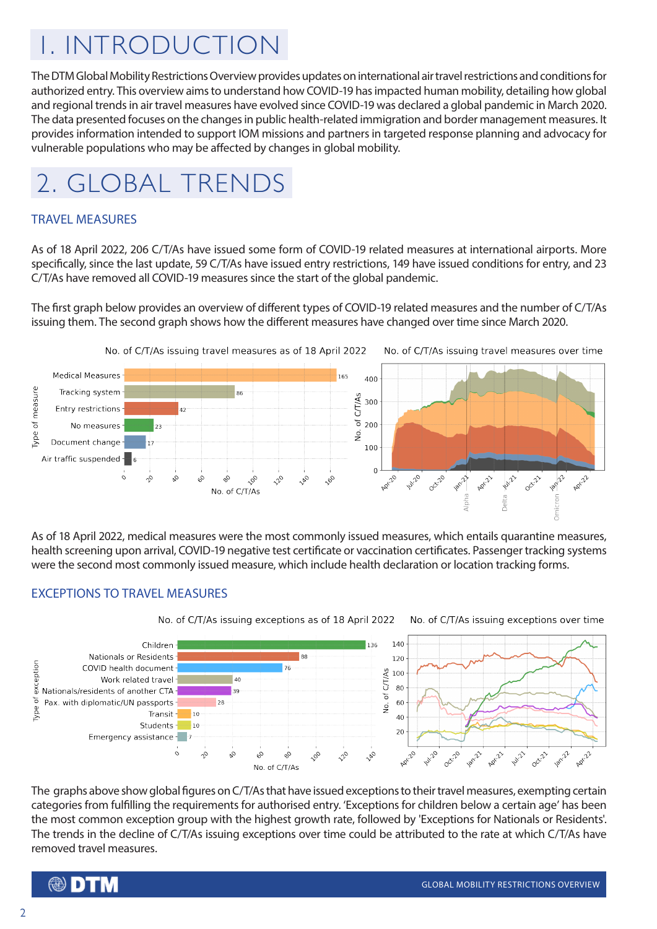## 1. INTRODUCTION

The DTM Global Mobility Restrictions Overview provides updates on international air travel restrictions and conditions for authorized entry. This overview aims to understand how COVID-19 has impacted human mobility, detailing how global and regional trends in air travel measures have evolved since COVID-19 was declared a global pandemic in March 2020. The data presented focuses on the changes in public health-related immigration and border management measures. It provides information intended to support IOM missions and partners in targeted response planning and advocacy for vulnerable populations who may be affected by changes in global mobility.

### 2. GLOBAL TRENDS

#### TRAVEL MEASURES

As of 18 April 2022, 206 C/T/As have issued some form of COVID-19 related measures at international airports. More specifically, since the last update, 59 C/T/As have issued entry restrictions, 149 have issued conditions for entry, and 23 C/T/As have removed all COVID-19 measures since the start of the global pandemic.

The first graph below provides an overview of different types of COVID-19 related measures and the number of C/T/As issuing them. The second graph shows how the different measures have changed over time since March 2020.



As of 18 April 2022, medical measures were the most commonly issued measures, which entails quarantine measures, health screening upon arrival, COVID-19 negative test certificate or vaccination certificates. Passenger tracking systems were the second most commonly issued measure, which include health declaration or location tracking forms.

#### EXCEPTIONS TO TRAVEL MEASURES



The graphs above show global figures on C/T/As that have issued exceptions to their travel measures, exempting certain categories from fulfilling the requirements for authorised entry. 'Exceptions for children below a certain age' has been the most common exception group with the highest growth rate, followed by 'Exceptions for Nationals or Residents'. The trends in the decline of C/T/As issuing exceptions over time could be attributed to the rate at which C/T/As have removed travel measures.